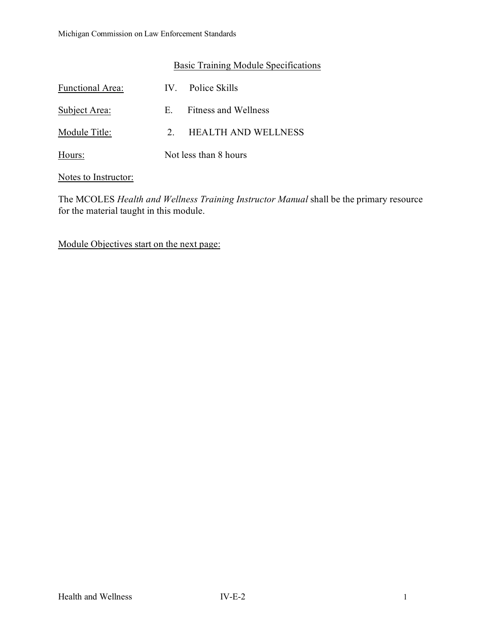# Basic Training Module Specifications

| <b>Functional Area:</b> |                       | IV. Police Skills          |
|-------------------------|-----------------------|----------------------------|
| Subject Area:           | E.                    | Fitness and Wellness       |
| Module Title:           | $\mathcal{P}$         | <b>HEALTH AND WELLNESS</b> |
| Hours:                  | Not less than 8 hours |                            |

Notes to Instructor:

The MCOLES *Health and Wellness Training Instructor Manual* shall be the primary resource for the material taught in this module.

Module Objectives start on the next page: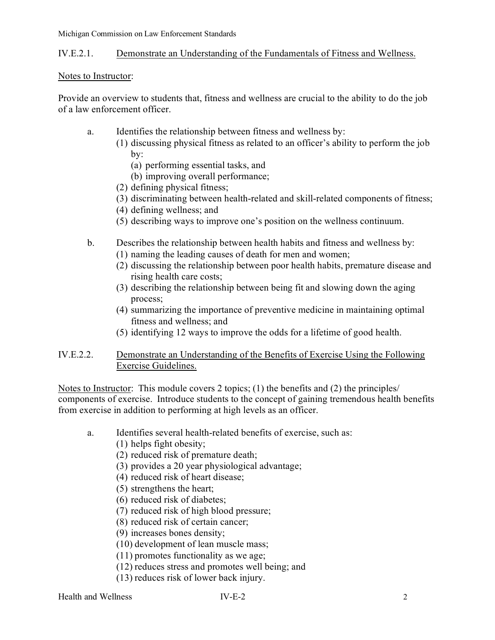Michigan Commission on Law Enforcement Standards

### IV.E.2.1. Demonstrate an Understanding of the Fundamentals of Fitness and Wellness.

#### Notes to Instructor:

Provide an overview to students that, fitness and wellness are crucial to the ability to do the job of a law enforcement officer.

- a. Identifies the relationship between fitness and wellness by:
	- (1) discussing physical fitness as related to an officer's ability to perform the job by:
		- (a) performing essential tasks, and
		- (b) improving overall performance;
	- (2) defining physical fitness;
	- (3) discriminating between health-related and skill-related components of fitness;
	- (4) defining wellness; and
	- (5) describing ways to improve one's position on the wellness continuum.
- b. Describes the relationship between health habits and fitness and wellness by:
	- (1) naming the leading causes of death for men and women;
	- (2) discussing the relationship between poor health habits, premature disease and rising health care costs;
	- (3) describing the relationship between being fit and slowing down the aging process;
	- (4) summarizing the importance of preventive medicine in maintaining optimal fitness and wellness; and
	- (5) identifying 12 ways to improve the odds for a lifetime of good health.
- IV.E.2.2. Demonstrate an Understanding of the Benefits of Exercise Using the Following Exercise Guidelines.

Notes to Instructor: This module covers 2 topics; (1) the benefits and (2) the principles/ components of exercise. Introduce students to the concept of gaining tremendous health benefits from exercise in addition to performing at high levels as an officer.

- a. Identifies several health-related benefits of exercise, such as:
	- (1) helps fight obesity;
	- (2) reduced risk of premature death;
	- (3) provides a 20 year physiological advantage;
	- (4) reduced risk of heart disease;
	- (5) strengthens the heart;
	- (6) reduced risk of diabetes;
	- (7) reduced risk of high blood pressure;
	- (8) reduced risk of certain cancer;
	- (9) increases bones density;
	- (10) development of lean muscle mass;
	- (11) promotes functionality as we age;
	- (12) reduces stress and promotes well being; and
	- (13) reduces risk of lower back injury.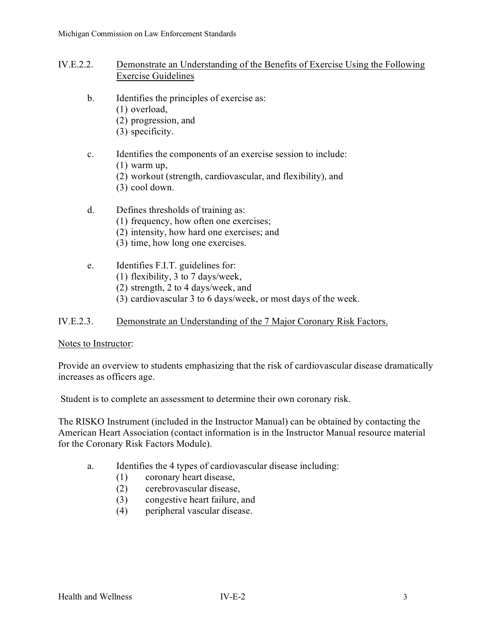### IV.E.2.2. Demonstrate an Understanding of the Benefits of Exercise Using the Following Exercise Guidelines

- b. Identifies the principles of exercise as:
	- (1) overload,
		- (2) progression, and
		- (3) specificity.
- c. Identifies the components of an exercise session to include:
	- (1) warm up,
	- (2) workout (strength, cardiovascular, and flexibility), and
	- (3) cool down.
- d. Defines thresholds of training as:
	- (1) frequency, how often one exercises;
	- (2) intensity, how hard one exercises; and
	- (3) time, how long one exercises.
- e. Identifies F.I.T. guidelines for:
	- (1) flexibility, 3 to 7 days/week,
	- (2) strength, 2 to 4 days/week, and
	- (3) cardiovascular 3 to 6 days/week, or most days of the week.

### IV.E.2.3. Demonstrate an Understanding of the 7 Major Coronary Risk Factors.

#### Notes to Instructor:

Provide an overview to students emphasizing that the risk of cardiovascular disease dramatically increases as officers age.

Student is to complete an assessment to determine their own coronary risk.

The RISKO Instrument (included in the Instructor Manual) can be obtained by contacting the American Heart Association (contact information is in the Instructor Manual resource material for the Coronary Risk Factors Module).

- a. Identifies the 4 types of cardiovascular disease including:
	- (1) coronary heart disease,
	- (2) cerebrovascular disease,
	- (3) congestive heart failure, and
	- (4) peripheral vascular disease.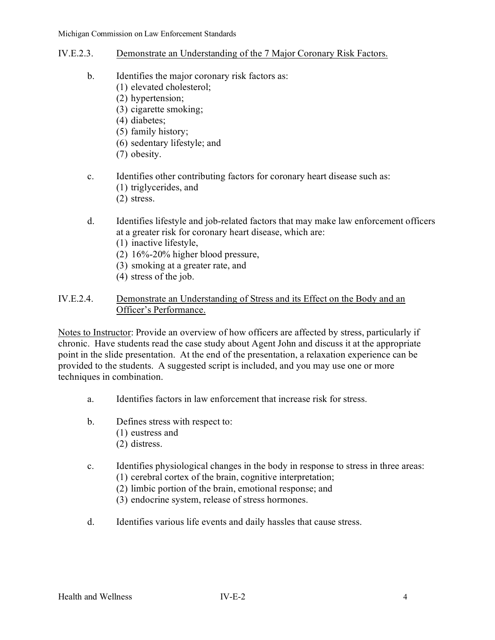- IV.E.2.3. Demonstrate an Understanding of the 7 Major Coronary Risk Factors.
	- b. Identifies the major coronary risk factors as:
		- (1) elevated cholesterol;
		- (2) hypertension;
		- (3) cigarette smoking;
		- (4) diabetes;
		- (5) family history;
		- (6) sedentary lifestyle; and
		- (7) obesity.
	- c. Identifies other contributing factors for coronary heart disease such as:
		- (1) triglycerides, and
		- (2) stress.
	- d. Identifies lifestyle and job-related factors that may make law enforcement officers at a greater risk for coronary heart disease, which are:
		- (1) inactive lifestyle,
		- (2) 16%-20% higher blood pressure,
		- (3) smoking at a greater rate, and
		- (4) stress of the job.

# IV.E.2.4. Demonstrate an Understanding of Stress and its Effect on the Body and an Officer's Performance.

Notes to Instructor: Provide an overview of how officers are affected by stress, particularly if chronic. Have students read the case study about Agent John and discuss it at the appropriate point in the slide presentation. At the end of the presentation, a relaxation experience can be provided to the students. A suggested script is included, and you may use one or more techniques in combination.

- a. Identifies factors in law enforcement that increase risk for stress.
- b. Defines stress with respect to:
	- (1) eustress and
	- (2) distress.
- c. Identifies physiological changes in the body in response to stress in three areas: (1) cerebral cortex of the brain, cognitive interpretation;
	- (2) limbic portion of the brain, emotional response; and
	- (3) endocrine system, release of stress hormones.
- d. Identifies various life events and daily hassles that cause stress.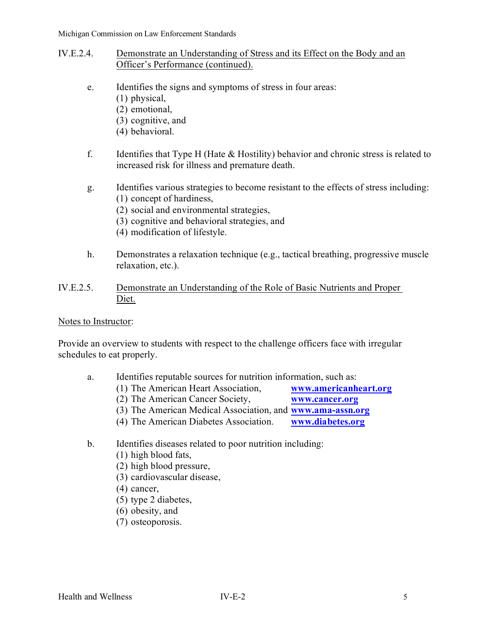- IV.E.2.4. Demonstrate an Understanding of Stress and its Effect on the Body and an Officer's Performance (continued).
	- e. Identifies the signs and symptoms of stress in four areas:
		- (1) physical,
			- (2) emotional,
			- (3) cognitive, and
			- (4) behavioral.
	- f. Identifies that Type H (Hate & Hostility) behavior and chronic stress is related to increased risk for illness and premature death.
	- g. Identifies various strategies to become resistant to the effects of stress including: (1) concept of hardiness,
		- (2) social and environmental strategies,
		- (3) cognitive and behavioral strategies, and
		- (4) modification of lifestyle.
	- h. Demonstrates a relaxation technique (e.g., tactical breathing, progressive muscle relaxation, etc.).
- IV.E.2.5. Demonstrate an Understanding of the Role of Basic Nutrients and Proper Diet.

#### Notes to Instructor:

Provide an overview to students with respect to the challenge officers face with irregular schedules to eat properly.

- a. Identifies reputable sources for nutrition information, such as:
	- (1) The American Heart Association, **[www.americanheart.org](http://www.americanheart.org/)**
	- (2) The American Cancer Society, **[www.cancer.org](http://www.cancer.org/)**
	- (3) The American Medical Association, and **[www.ama-assn.org](http://www.ama-assn.org/)**
	- (4) The American Diabetes Association. **[www.diabetes.org](http://www.diabetes.org/)**
- b. Identifies diseases related to poor nutrition including:
	- (1) high blood fats,
	- (2) high blood pressure,
	- (3) cardiovascular disease,
	- (4) cancer,
	- (5) type 2 diabetes,
	- (6) obesity, and
	- (7) osteoporosis.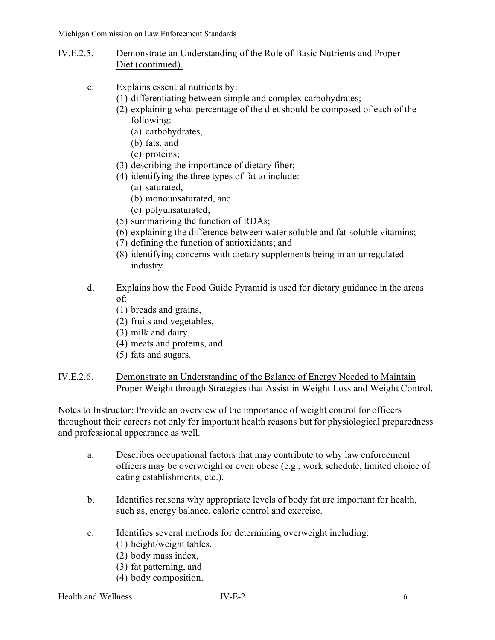- IV.E.2.5. Demonstrate an Understanding of the Role of Basic Nutrients and Proper Diet (continued).
	- c. Explains essential nutrients by:
		- (1) differentiating between simple and complex carbohydrates;
			- (2) explaining what percentage of the diet should be composed of each of the following:
				- (a) carbohydrates,
				- (b) fats, and
				- (c) proteins;
			- (3) describing the importance of dietary fiber;
			- (4) identifying the three types of fat to include:
				- (a) saturated,
				- (b) monounsaturated, and
				- (c) polyunsaturated;
			- (5) summarizing the function of RDAs;
			- (6) explaining the difference between water soluble and fat-soluble vitamins;
			- (7) defining the function of antioxidants; and
			- (8) identifying concerns with dietary supplements being in an unregulated industry.
	- d. Explains how the Food Guide Pyramid is used for dietary guidance in the areas of:
		- (1) breads and grains,
		- (2) fruits and vegetables,
		- (3) milk and dairy,
		- (4) meats and proteins, and
		- (5) fats and sugars.
- IV.E.2.6. Demonstrate an Understanding of the Balance of Energy Needed to Maintain Proper Weight through Strategies that Assist in Weight Loss and Weight Control.

Notes to Instructor: Provide an overview of the importance of weight control for officers throughout their careers not only for important health reasons but for physiological preparedness and professional appearance as well.

- a. Describes occupational factors that may contribute to why law enforcement officers may be overweight or even obese (e.g., work schedule, limited choice of eating establishments, etc.).
- b. Identifies reasons why appropriate levels of body fat are important for health, such as, energy balance, calorie control and exercise.
- c. Identifies several methods for determining overweight including:
	- (1) height/weight tables,
	- (2) body mass index,
	- (3) fat patterning, and
	- (4) body composition.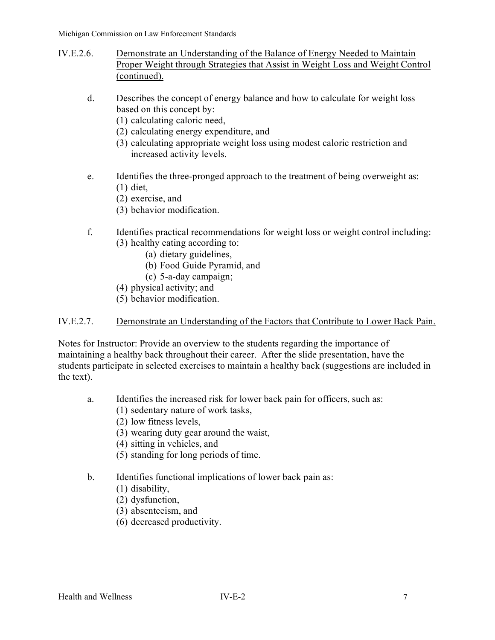- IV.E.2.6. Demonstrate an Understanding of the Balance of Energy Needed to Maintain Proper Weight through Strategies that Assist in Weight Loss and Weight Control (continued).
	- d. Describes the concept of energy balance and how to calculate for weight loss based on this concept by:
		- (1) calculating caloric need,
		- (2) calculating energy expenditure, and
		- (3) calculating appropriate weight loss using modest caloric restriction and increased activity levels.
	- e. Identifies the three-pronged approach to the treatment of being overweight as: (1) diet,
		- (2) exercise, and
		- (3) behavior modification.
	- f. Identifies practical recommendations for weight loss or weight control including: (3) healthy eating according to:
		- (a) dietary guidelines,
		- (b) Food Guide Pyramid, and
		- (c) 5-a-day campaign;
		- (4) physical activity; and
		- (5) behavior modification.

### IV.E.2.7. Demonstrate an Understanding of the Factors that Contribute to Lower Back Pain.

Notes for Instructor: Provide an overview to the students regarding the importance of maintaining a healthy back throughout their career. After the slide presentation, have the students participate in selected exercises to maintain a healthy back (suggestions are included in the text).

- a. Identifies the increased risk for lower back pain for officers, such as:
	- (1) sedentary nature of work tasks,
	- (2) low fitness levels,
	- (3) wearing duty gear around the waist,
	- (4) sitting in vehicles, and
	- (5) standing for long periods of time.

# b. Identifies functional implications of lower back pain as:

- (1) disability,
- (2) dysfunction,
- (3) absenteeism, and
- (6) decreased productivity.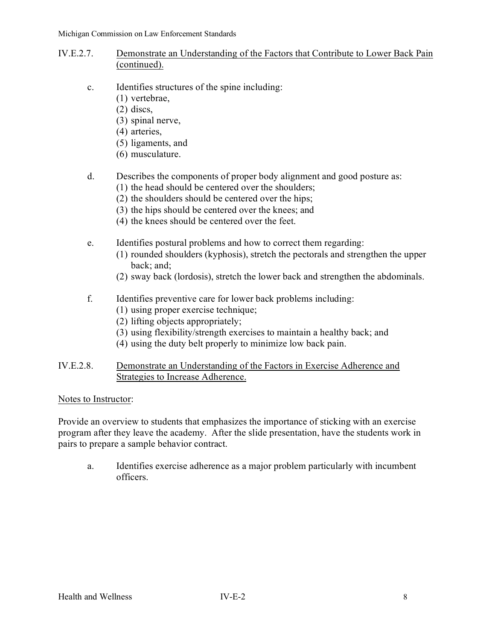- IV.E.2.7. Demonstrate an Understanding of the Factors that Contribute to Lower Back Pain (continued).
	- c. Identifies structures of the spine including:
		- (1) vertebrae,
			- (2) discs,
			- (3) spinal nerve,
			- (4) arteries,
			- (5) ligaments, and
			- (6) musculature.

# d. Describes the components of proper body alignment and good posture as:

- (1) the head should be centered over the shoulders;
- (2) the shoulders should be centered over the hips;
- (3) the hips should be centered over the knees; and
- (4) the knees should be centered over the feet.
- e. Identifies postural problems and how to correct them regarding:
	- (1) rounded shoulders (kyphosis), stretch the pectorals and strengthen the upper back; and;
	- (2) sway back (lordosis), stretch the lower back and strengthen the abdominals.
- f. Identifies preventive care for lower back problems including:
	- (1) using proper exercise technique;
	- (2) lifting objects appropriately;
	- (3) using flexibility/strength exercises to maintain a healthy back; and
	- (4) using the duty belt properly to minimize low back pain.
- IV.E.2.8. Demonstrate an Understanding of the Factors in Exercise Adherence and Strategies to Increase Adherence.

# Notes to Instructor:

Provide an overview to students that emphasizes the importance of sticking with an exercise program after they leave the academy. After the slide presentation, have the students work in pairs to prepare a sample behavior contract.

a. Identifies exercise adherence as a major problem particularly with incumbent officers.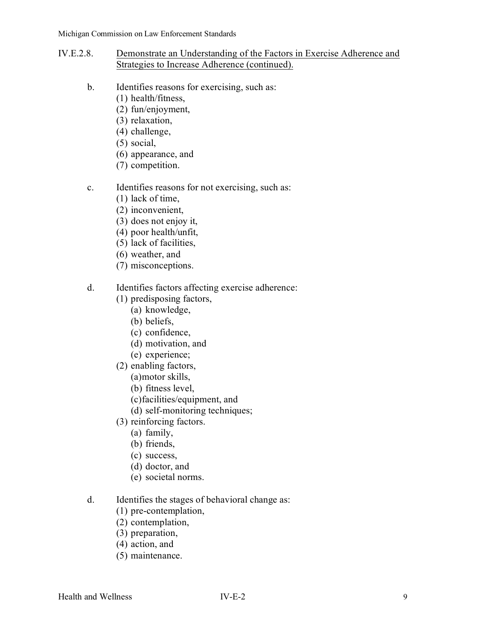- IV.E.2.8. Demonstrate an Understanding of the Factors in Exercise Adherence and Strategies to Increase Adherence (continued).
	- b. Identifies reasons for exercising, such as:
		- (1) health/fitness,
		- (2) fun/enjoyment,
		- (3) relaxation,
		- (4) challenge,
		- (5) social,
		- (6) appearance, and
		- (7) competition.

### c. Identifies reasons for not exercising, such as:

- (1) lack of time,
- (2) inconvenient,
- (3) does not enjoy it,
- (4) poor health/unfit,
- (5) lack of facilities,
- (6) weather, and
- (7) misconceptions.
- d. Identifies factors affecting exercise adherence:
	- (1) predisposing factors,
		- (a) knowledge,
		- (b) beliefs,
		- (c) confidence,
		- (d) motivation, and
		- (e) experience;
	- (2) enabling factors,
		- (a)motor skills,
		- (b) fitness level,
		- (c)facilities/equipment, and
		- (d) self-monitoring techniques;
	- (3) reinforcing factors.
		- (a) family,
		- (b) friends,
		- (c) success,
		- (d) doctor, and
		- (e) societal norms.
- d. Identifies the stages of behavioral change as:
	- (1) pre-contemplation,
	- (2) contemplation,
	- (3) preparation,
	- (4) action, and
	- (5) maintenance.